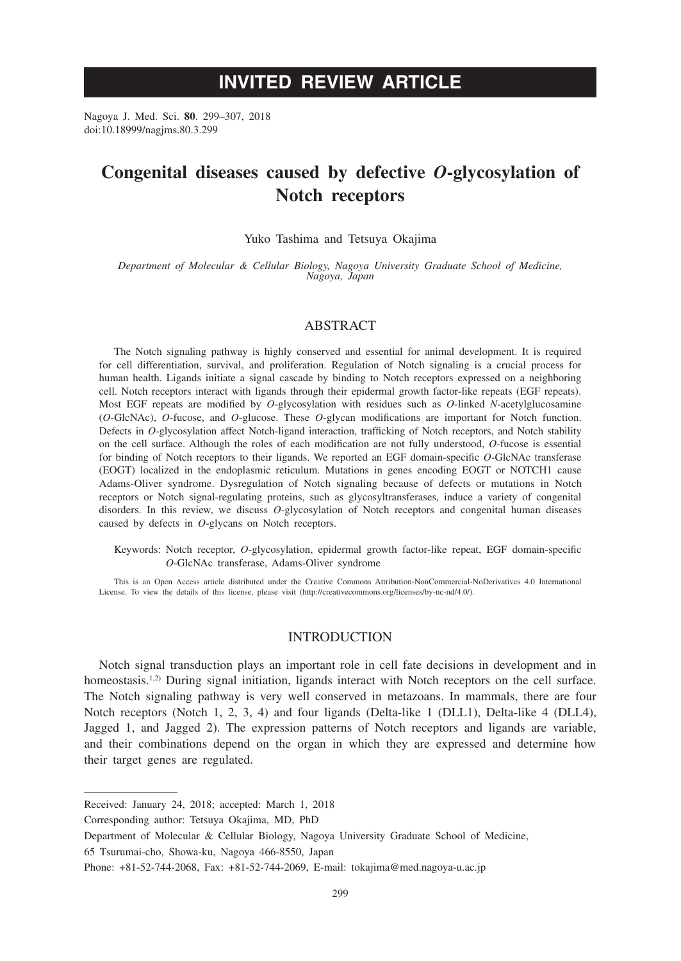# **INVITED REVIEW ARTICLE**

Nagoya J. Med. Sci. **80**. 299–307, 2018 doi:10.18999/nagjms.80.3.299

# **Congenital diseases caused by defective** *O***-glycosylation of Notch receptors**

Yuko Tashima and Tetsuya Okajima

*Department of Molecular & Cellular Biology, Nagoya University Graduate School of Medicine, Nagoya, Japan*

### ABSTRACT

The Notch signaling pathway is highly conserved and essential for animal development. It is required for cell differentiation, survival, and proliferation. Regulation of Notch signaling is a crucial process for human health. Ligands initiate a signal cascade by binding to Notch receptors expressed on a neighboring cell. Notch receptors interact with ligands through their epidermal growth factor-like repeats (EGF repeats). Most EGF repeats are modified by *O*-glycosylation with residues such as *O*-linked *N*-acetylglucosamine (*O*-GlcNAc), *O*-fucose, and *O*-glucose. These *O*-glycan modifications are important for Notch function. Defects in *O*-glycosylation affect Notch-ligand interaction, trafficking of Notch receptors, and Notch stability on the cell surface. Although the roles of each modification are not fully understood, *O*-fucose is essential for binding of Notch receptors to their ligands. We reported an EGF domain-specific *O*-GlcNAc transferase (EOGT) localized in the endoplasmic reticulum. Mutations in genes encoding EOGT or NOTCH1 cause Adams-Oliver syndrome. Dysregulation of Notch signaling because of defects or mutations in Notch receptors or Notch signal-regulating proteins, such as glycosyltransferases, induce a variety of congenital disorders. In this review, we discuss *O*-glycosylation of Notch receptors and congenital human diseases caused by defects in *O*-glycans on Notch receptors.

Keywords: Notch receptor, *O*-glycosylation, epidermal growth factor-like repeat, EGF domain-specific *O*-GlcNAc transferase, Adams-Oliver syndrome

This is an Open Access article distributed under the Creative Commons Attribution-NonCommercial-NoDerivatives 4.0 International License. To view the details of this license, please visit (http://creativecommons.org/licenses/by-nc-nd/4.0/).

## INTRODUCTION

Notch signal transduction plays an important role in cell fate decisions in development and in homeostasis.<sup>1,2)</sup> During signal initiation, ligands interact with Notch receptors on the cell surface. The Notch signaling pathway is very well conserved in metazoans. In mammals, there are four Notch receptors (Notch 1, 2, 3, 4) and four ligands (Delta-like 1 (DLL1), Delta-like 4 (DLL4), Jagged 1, and Jagged 2). The expression patterns of Notch receptors and ligands are variable, and their combinations depend on the organ in which they are expressed and determine how their target genes are regulated.

Corresponding author: Tetsuya Okajima, MD, PhD

65 Tsurumai-cho, Showa-ku, Nagoya 466-8550, Japan

Received: January 24, 2018; accepted: March 1, 2018

Department of Molecular & Cellular Biology, Nagoya University Graduate School of Medicine,

Phone: +81-52-744-2068, Fax: +81-52-744-2069, E-mail: tokajima@med.nagoya-u.ac.jp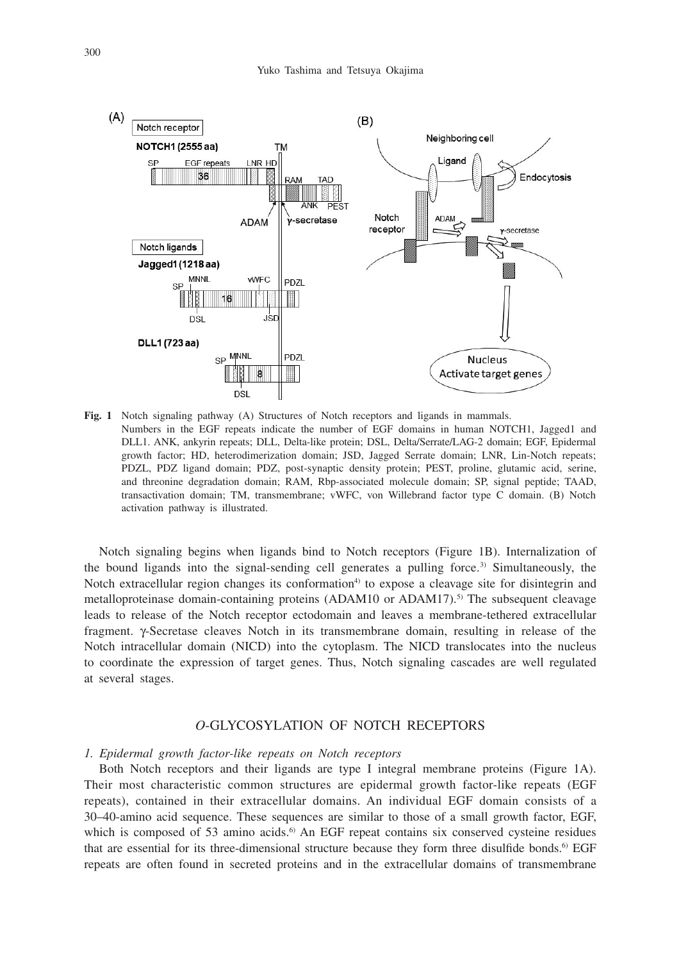

**Fig. 1** Notch signaling pathway (A) Structures of Notch receptors and ligands in mammals. Numbers in the EGF repeats indicate the number of EGF domains in human NOTCH1, Jagged1 and DLL1. ANK, ankyrin repeats; DLL, Delta-like protein; DSL, Delta/Serrate/LAG-2 domain; EGF, Epidermal growth factor; HD, heterodimerization domain; JSD, Jagged Serrate domain; LNR, Lin-Notch repeats; PDZL, PDZ ligand domain; PDZ, post-synaptic density protein; PEST, proline, glutamic acid, serine, and threonine degradation domain; RAM, Rbp-associated molecule domain; SP, signal peptide; TAAD, transactivation domain; TM, transmembrane; vWFC, von Willebrand factor type C domain. (B) Notch activation pathway is illustrated.

Notch signaling begins when ligands bind to Notch receptors (Figure 1B). Internalization of the bound ligands into the signal-sending cell generates a pulling force.<sup>3)</sup> Simultaneously, the Notch extracellular region changes its conformation<sup>4)</sup> to expose a cleavage site for disintegrin and metalloproteinase domain-containing proteins  $(ADAM10)$  or  $ADAM17$ ).<sup>5)</sup> The subsequent cleavage leads to release of the Notch receptor ectodomain and leaves a membrane-tethered extracellular fragment.  $\gamma$ -Secretase cleaves Notch in its transmembrane domain, resulting in release of the Notch intracellular domain (NICD) into the cytoplasm. The NICD translocates into the nucleus to coordinate the expression of target genes. Thus, Notch signaling cascades are well regulated at several stages.

# *O*-GLYCOSYLATION OF NOTCH RECEPTORS

#### *1. Epidermal growth factor-like repeats on Notch receptors*

Both Notch receptors and their ligands are type I integral membrane proteins (Figure 1A). Their most characteristic common structures are epidermal growth factor-like repeats (EGF repeats), contained in their extracellular domains. An individual EGF domain consists of a 30–40-amino acid sequence. These sequences are similar to those of a small growth factor, EGF, which is composed of 53 amino acids.<sup>6)</sup> An EGF repeat contains six conserved cysteine residues that are essential for its three-dimensional structure because they form three disulfide bonds.<sup>6)</sup> EGF repeats are often found in secreted proteins and in the extracellular domains of transmembrane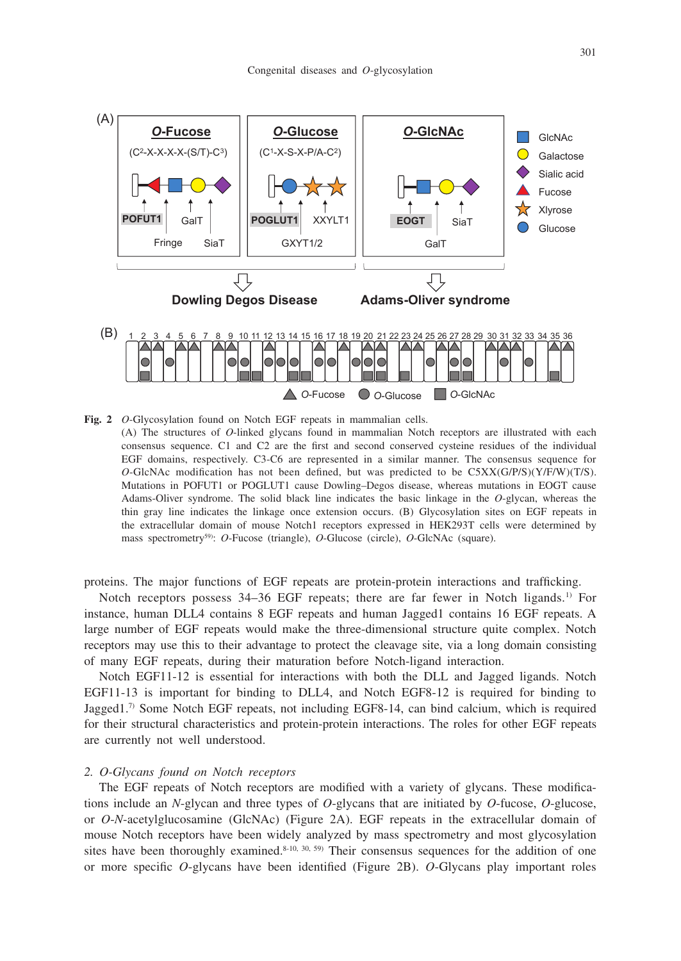

**Fig. 2** *O*-Glycosylation found on Notch EGF repeats in mammalian cells. (A) The structures of *O*-linked glycans found in mammalian Notch receptors are illustrated with each consensus sequence. C1 and C2 are the first and second conserved cysteine residues of the individual EGF domains, respectively. C3-C6 are represented in a similar manner. The consensus sequence for *O*-GlcNAc modification has not been defined, but was predicted to be C5XX(G/P/S)(Y/F/W)(T/S). Mutations in POFUT1 or POGLUT1 cause Dowling–Degos disease, whereas mutations in EOGT cause Adams-Oliver syndrome. The solid black line indicates the basic linkage in the *O*-glycan, whereas the thin gray line indicates the linkage once extension occurs. (B) Glycosylation sites on EGF repeats in the extracellular domain of mouse Notch1 receptors expressed in HEK293T cells were determined by mass spectrometry<sup>59)</sup>: *O*-Fucose (triangle), *O*-Glucose (circle), *O*-GlcNAc (square).

proteins. The major functions of EGF repeats are protein-protein interactions and trafficking.

Notch receptors possess 34–36 EGF repeats; there are far fewer in Notch ligands.<sup>1)</sup> For instance, human DLL4 contains 8 EGF repeats and human Jagged1 contains 16 EGF repeats. A large number of EGF repeats would make the three-dimensional structure quite complex. Notch receptors may use this to their advantage to protect the cleavage site, via a long domain consisting of many EGF repeats, during their maturation before Notch-ligand interaction.

Notch EGF11-12 is essential for interactions with both the DLL and Jagged ligands. Notch EGF11-13 is important for binding to DLL4, and Notch EGF8-12 is required for binding to Jagged1.7) Some Notch EGF repeats, not including EGF8-14, can bind calcium, which is required for their structural characteristics and protein-protein interactions. The roles for other EGF repeats are currently not well understood.

### *2. O-Glycans found on Notch receptors*

The EGF repeats of Notch receptors are modified with a variety of glycans. These modifications include an *N*-glycan and three types of *O*-glycans that are initiated by *O*-fucose, *O*-glucose, or *O*-*N*-acetylglucosamine (GlcNAc) (Figure 2A). EGF repeats in the extracellular domain of mouse Notch receptors have been widely analyzed by mass spectrometry and most glycosylation sites have been thoroughly examined.<sup>8-10, 30, 59)</sup> Their consensus sequences for the addition of one or more specific *O*-glycans have been identified (Figure 2B). *O*-Glycans play important roles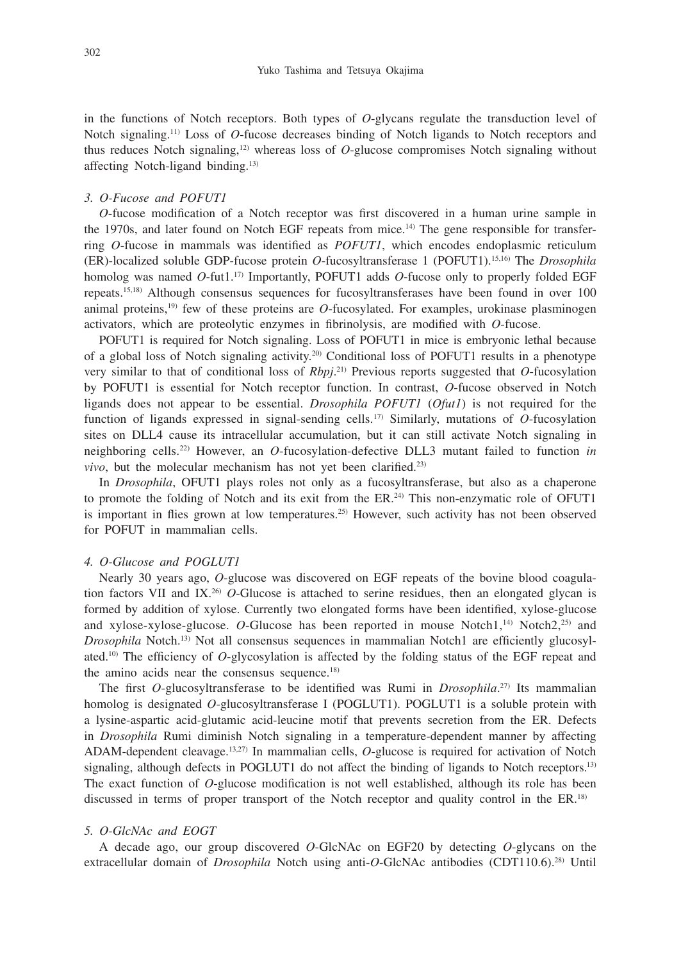in the functions of Notch receptors. Both types of *O*-glycans regulate the transduction level of Notch signaling.11) Loss of *O*-fucose decreases binding of Notch ligands to Notch receptors and thus reduces Notch signaling,12) whereas loss of *O*-glucose compromises Notch signaling without affecting Notch-ligand binding.13)

## *3. O-Fucose and POFUT1*

*O*-fucose modification of a Notch receptor was first discovered in a human urine sample in the 1970s, and later found on Notch EGF repeats from mice.<sup>14)</sup> The gene responsible for transferring *O*-fucose in mammals was identified as *POFUT1*, which encodes endoplasmic reticulum (ER)-localized soluble GDP-fucose protein *O*-fucosyltransferase 1 (POFUT1).15,16) The *Drosophila* homolog was named *O*-fut1.17) Importantly, POFUT1 adds *O*-fucose only to properly folded EGF repeats.15,18) Although consensus sequences for fucosyltransferases have been found in over 100 animal proteins,19) few of these proteins are *O*-fucosylated. For examples, urokinase plasminogen activators, which are proteolytic enzymes in fibrinolysis, are modified with *O*-fucose.

POFUT1 is required for Notch signaling. Loss of POFUT1 in mice is embryonic lethal because of a global loss of Notch signaling activity.20) Conditional loss of POFUT1 results in a phenotype very similar to that of conditional loss of *Rbpj*. 21) Previous reports suggested that *O*-fucosylation by POFUT1 is essential for Notch receptor function. In contrast, *O*-fucose observed in Notch ligands does not appear to be essential. *Drosophila POFUT1* (*Ofut1*) is not required for the function of ligands expressed in signal-sending cells.17) Similarly, mutations of *O*-fucosylation sites on DLL4 cause its intracellular accumulation, but it can still activate Notch signaling in neighboring cells.22) However, an *O*-fucosylation-defective DLL3 mutant failed to function *in*   $vivo$ , but the molecular mechanism has not yet been clarified.<sup>23)</sup>

In *Drosophila*, OFUT1 plays roles not only as a fucosyltransferase, but also as a chaperone to promote the folding of Notch and its exit from the  $ER<sup>24</sup>$ . This non-enzymatic role of OFUT1 is important in flies grown at low temperatures.<sup>25)</sup> However, such activity has not been observed for POFUT in mammalian cells.

## *4. O-Glucose and POGLUT1*

Nearly 30 years ago, *O*-glucose was discovered on EGF repeats of the bovine blood coagulation factors VII and IX.26) *O*-Glucose is attached to serine residues, then an elongated glycan is formed by addition of xylose. Currently two elongated forms have been identified, xylose-glucose and xylose-xylose-glucose.  $O$ -Glucose has been reported in mouse Notch1,<sup>14)</sup> Notch2,<sup>25)</sup> and *Drosophila* Notch.<sup>13)</sup> Not all consensus sequences in mammalian Notch1 are efficiently glucosylated.10) The efficiency of *O*-glycosylation is affected by the folding status of the EGF repeat and the amino acids near the consensus sequence.<sup>18)</sup>

The first *O*-glucosyltransferase to be identified was Rumi in *Drosophila*. 27) Its mammalian homolog is designated *O*-glucosyltransferase I (POGLUT1). POGLUT1 is a soluble protein with a lysine-aspartic acid-glutamic acid-leucine motif that prevents secretion from the ER. Defects in *Drosophila* Rumi diminish Notch signaling in a temperature-dependent manner by affecting ADAM-dependent cleavage.13,27) In mammalian cells, *O*-glucose is required for activation of Notch signaling, although defects in POGLUT1 do not affect the binding of ligands to Notch receptors.<sup>13)</sup> The exact function of *O*-glucose modification is not well established, although its role has been discussed in terms of proper transport of the Notch receptor and quality control in the ER.<sup>18)</sup>

#### *5. O-GlcNAc and EOGT*

A decade ago, our group discovered *O*-GlcNAc on EGF20 by detecting *O*-glycans on the extracellular domain of *Drosophila* Notch using anti-*O*-GlcNAc antibodies (CDT110.6).28) Until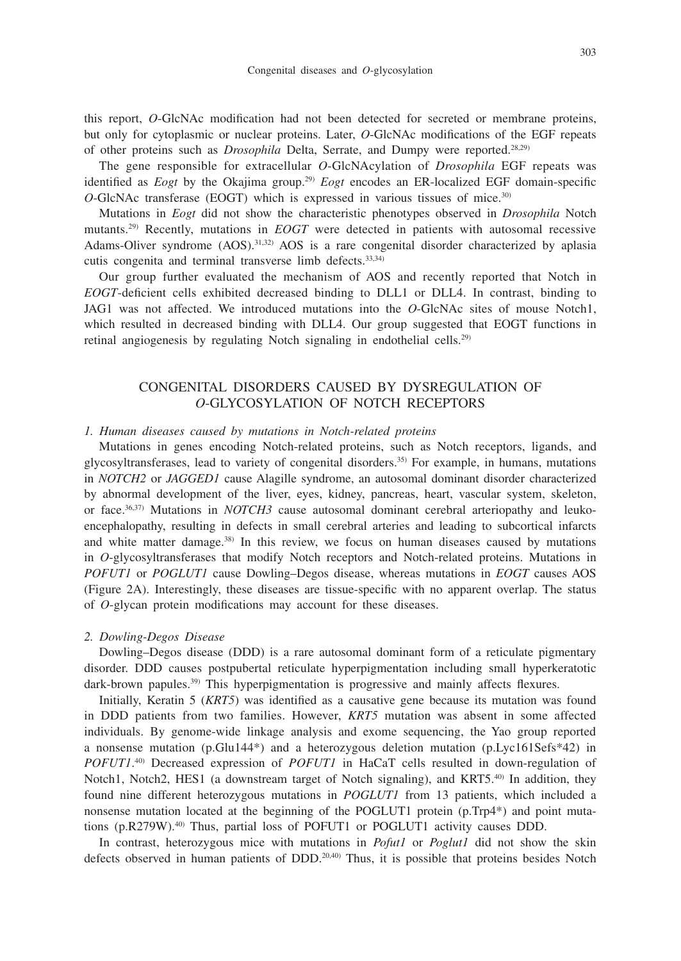this report, *O*-GlcNAc modification had not been detected for secreted or membrane proteins, but only for cytoplasmic or nuclear proteins. Later, *O*-GlcNAc modifications of the EGF repeats of other proteins such as *Drosophila* Delta, Serrate, and Dumpy were reported.28,29)

The gene responsible for extracellular *O*-GlcNAcylation of *Drosophila* EGF repeats was identified as *Eogt* by the Okajima group.29) *Eogt* encodes an ER-localized EGF domain-specific *O*-GlcNAc transferase (EOGT) which is expressed in various tissues of mice.30)

Mutations in *Eogt* did not show the characteristic phenotypes observed in *Drosophila* Notch mutants.29) Recently, mutations in *EOGT* were detected in patients with autosomal recessive Adams-Oliver syndrome (AOS).<sup>31,32)</sup> AOS is a rare congenital disorder characterized by aplasia cutis congenita and terminal transverse limb defects.33,34)

Our group further evaluated the mechanism of AOS and recently reported that Notch in *EOGT*-deficient cells exhibited decreased binding to DLL1 or DLL4. In contrast, binding to JAG1 was not affected. We introduced mutations into the *O*-GlcNAc sites of mouse Notch1, which resulted in decreased binding with DLL4. Our group suggested that EOGT functions in retinal angiogenesis by regulating Notch signaling in endothelial cells.29)

## CONGENITAL DISORDERS CAUSED BY DYSREGULATION OF *O*-GLYCOSYLATION OF NOTCH RECEPTORS

#### *1. Human diseases caused by mutations in Notch-related proteins*

Mutations in genes encoding Notch-related proteins, such as Notch receptors, ligands, and glycosyltransferases, lead to variety of congenital disorders.35) For example, in humans, mutations in *NOTCH2* or *JAGGED1* cause Alagille syndrome, an autosomal dominant disorder characterized by abnormal development of the liver, eyes, kidney, pancreas, heart, vascular system, skeleton, or face.36,37) Mutations in *NOTCH3* cause autosomal dominant cerebral arteriopathy and leukoencephalopathy, resulting in defects in small cerebral arteries and leading to subcortical infarcts and white matter damage.<sup>38)</sup> In this review, we focus on human diseases caused by mutations in *O*-glycosyltransferases that modify Notch receptors and Notch-related proteins. Mutations in *POFUT1* or *POGLUT1* cause Dowling–Degos disease, whereas mutations in *EOGT* causes AOS (Figure 2A). Interestingly, these diseases are tissue-specific with no apparent overlap. The status of *O*-glycan protein modifications may account for these diseases.

#### *2. Dowling-Degos Disease*

Dowling–Degos disease (DDD) is a rare autosomal dominant form of a reticulate pigmentary disorder. DDD causes postpubertal reticulate hyperpigmentation including small hyperkeratotic dark-brown papules.<sup>39)</sup> This hyperpigmentation is progressive and mainly affects flexures.

Initially, Keratin 5 (*KRT5*) was identified as a causative gene because its mutation was found in DDD patients from two families. However, *KRT5* mutation was absent in some affected individuals. By genome-wide linkage analysis and exome sequencing, the Yao group reported a nonsense mutation (p.Glu144\*) and a heterozygous deletion mutation (p.Lyc161Sefs\*42) in *POFUT1*. 40) Decreased expression of *POFUT1* in HaCaT cells resulted in down-regulation of Notch1, Notch2, HES1 (a downstream target of Notch signaling), and KRT5.<sup>40)</sup> In addition, they found nine different heterozygous mutations in *POGLUT1* from 13 patients, which included a nonsense mutation located at the beginning of the POGLUT1 protein (p.Trp4\*) and point mutations  $(p.R279W)$ <sup>40)</sup> Thus, partial loss of POFUT1 or POGLUT1 activity causes DDD.

In contrast, heterozygous mice with mutations in *Pofut1* or *Poglut1* did not show the skin defects observed in human patients of DDD.<sup>20,40</sup> Thus, it is possible that proteins besides Notch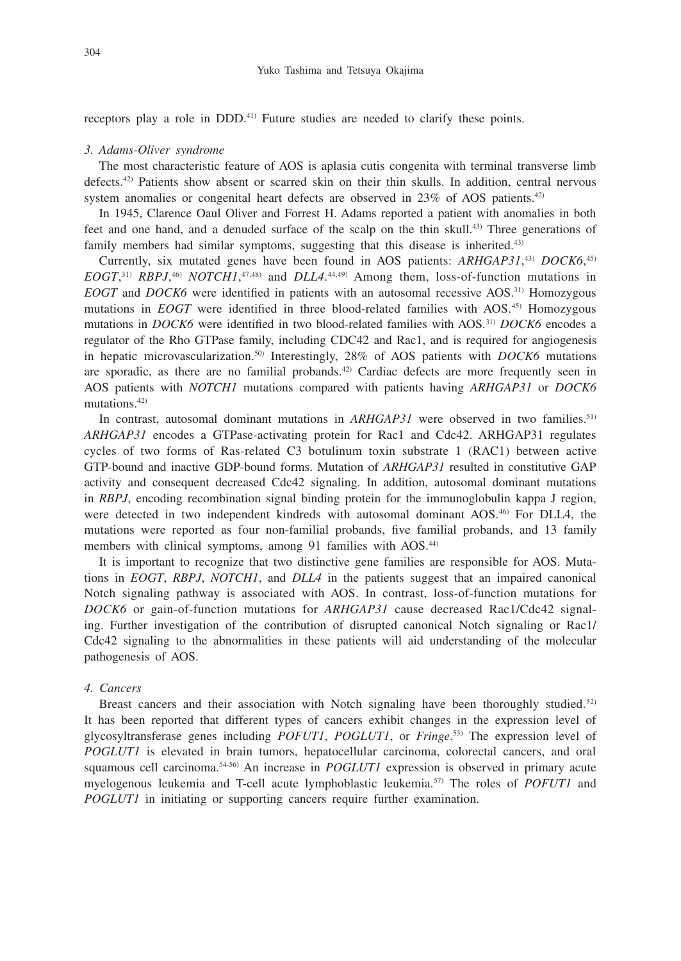receptors play a role in DDD.<sup>41)</sup> Future studies are needed to clarify these points.

#### *3. Adams-Oliver syndrome*

The most characteristic feature of AOS is aplasia cutis congenita with terminal transverse limb defects.42) Patients show absent or scarred skin on their thin skulls. In addition, central nervous system anomalies or congenital heart defects are observed in  $23\%$  of AOS patients.<sup>42)</sup>

In 1945, Clarence Oaul Oliver and Forrest H. Adams reported a patient with anomalies in both feet and one hand, and a denuded surface of the scalp on the thin skull.43) Three generations of family members had similar symptoms, suggesting that this disease is inherited.<sup>43)</sup>

Currently, six mutated genes have been found in AOS patients: *ARHGAP31*, 43) *DOCK6*, 45)  $EOGT$ <sup>31)</sup> *RBPJ*,<sup>46</sup>) *NOTCH1*,<sup>47,48</sup> and *DLL4*.<sup>44,49</sup>) Among them, loss-of-function mutations in *EOGT* and *DOCK6* were identified in patients with an autosomal recessive AOS.31) Homozygous mutations in *EOGT* were identified in three blood-related families with AOS.<sup>45)</sup> Homozygous mutations in *DOCK6* were identified in two blood-related families with AOS.31) *DOCK6* encodes a regulator of the Rho GTPase family, including CDC42 and Rac1, and is required for angiogenesis in hepatic microvascularization.50) Interestingly, 28% of AOS patients with *DOCK6* mutations are sporadic, as there are no familial probands.42) Cardiac defects are more frequently seen in AOS patients with *NOTCH1* mutations compared with patients having *ARHGAP31* or *DOCK6* mutations.42)

In contrast, autosomal dominant mutations in *ARHGAP31* were observed in two families.<sup>51)</sup> *ARHGAP31* encodes a GTPase-activating protein for Rac1 and Cdc42. ARHGAP31 regulates cycles of two forms of Ras-related C3 botulinum toxin substrate 1 (RAC1) between active GTP-bound and inactive GDP-bound forms. Mutation of *ARHGAP31* resulted in constitutive GAP activity and consequent decreased Cdc42 signaling. In addition, autosomal dominant mutations in *RBPJ*, encoding recombination signal binding protein for the immunoglobulin kappa J region, were detected in two independent kindreds with autosomal dominant AOS.<sup>46)</sup> For DLL4, the mutations were reported as four non-familial probands, five familial probands, and 13 family members with clinical symptoms, among 91 families with AOS.44)

It is important to recognize that two distinctive gene families are responsible for AOS. Mutations in *EOGT*, *RBPJ*, *NOTCH1*, and *DLL4* in the patients suggest that an impaired canonical Notch signaling pathway is associated with AOS. In contrast, loss-of-function mutations for *DOCK6* or gain-of-function mutations for *ARHGAP31* cause decreased Rac1/Cdc42 signaling. Further investigation of the contribution of disrupted canonical Notch signaling or Rac1/ Cdc42 signaling to the abnormalities in these patients will aid understanding of the molecular pathogenesis of AOS.

#### *4. Cancers*

Breast cancers and their association with Notch signaling have been thoroughly studied.<sup>52)</sup> It has been reported that different types of cancers exhibit changes in the expression level of glycosyltransferase genes including *POFUT1*, *POGLUT1*, or *Fringe*. 53) The expression level of *POGLUT1* is elevated in brain tumors, hepatocellular carcinoma, colorectal cancers, and oral squamous cell carcinoma.54-56) An increase in *POGLUT1* expression is observed in primary acute myelogenous leukemia and T-cell acute lymphoblastic leukemia.57) The roles of *POFUT1* and *POGLUT1* in initiating or supporting cancers require further examination.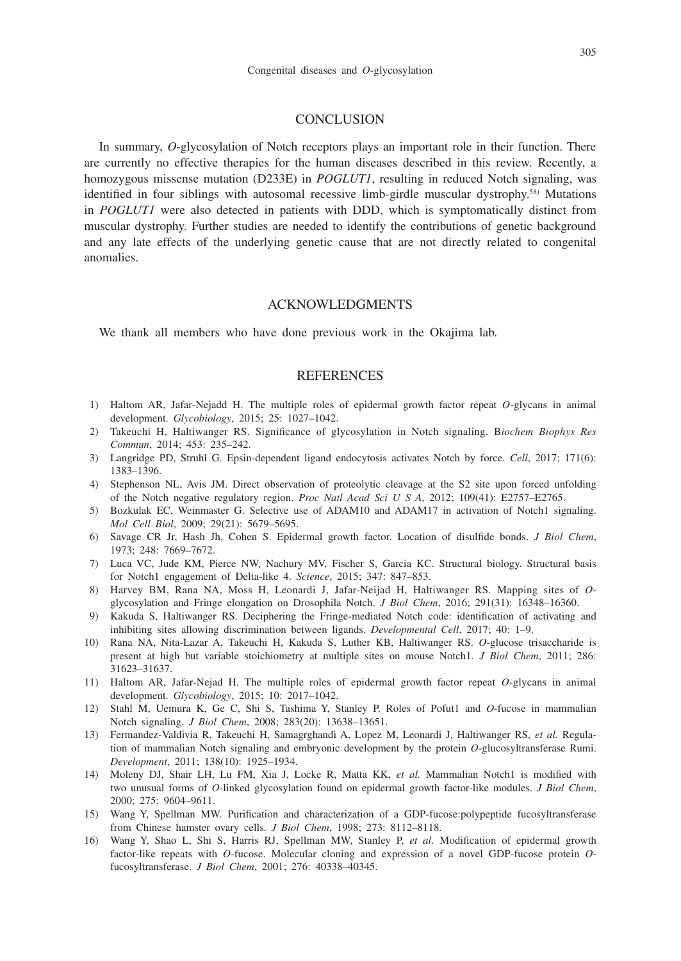#### **CONCLUSION**

In summary, *O*-glycosylation of Notch receptors plays an important role in their function. There are currently no effective therapies for the human diseases described in this review. Recently, a homozygous missense mutation (D233E) in *POGLUT1*, resulting in reduced Notch signaling, was identified in four siblings with autosomal recessive limb-girdle muscular dystrophy.58) Mutations in *POGLUT1* were also detected in patients with DDD, which is symptomatically distinct from muscular dystrophy. Further studies are needed to identify the contributions of genetic background and any late effects of the underlying genetic cause that are not directly related to congenital anomalies.

## ACKNOWLEDGMENTS

We thank all members who have done previous work in the Okajima lab.

#### **REFERENCES**

- 1) Haltom AR, Jafar-Nejadd H. The multiple roles of epidermal growth factor repeat *O*-glycans in animal development. *Glycobiology*, 2015; 25: 1027–1042.
- 2) Takeuchi H, Haltiwanger RS. Significance of glycosylation in Notch signaling. B*iochem Biophys Res Commun*, 2014; 453: 235–242.
- 3) Langridge PD, Struhl G. Epsin-dependent ligand endocytosis activates Notch by force. *Cell*, 2017; 171(6): 1383–1396.
- 4) Stephenson NL, Avis JM. Direct observation of proteolytic cleavage at the S2 site upon forced unfolding of the Notch negative regulatory region. *Proc Natl Acad Sci U S A*, 2012; 109(41): E2757–E2765.
- 5) Bozkulak EC, Weinmaster G. Selective use of ADAM10 and ADAM17 in activation of Notch1 signaling. *Mol Cell Biol*, 2009; 29(21): 5679–5695.
- 6) Savage CR Jr, Hash Jh, Cohen S. Epidermal growth factor. Location of disulfide bonds. *J Biol Chem*, 1973; 248: 7669–7672.
- 7) Luca VC, Jude KM, Pierce NW, Nachury MV, Fischer S, Garcia KC. Structural biology. Structural basis for Notch1 engagement of Delta-like 4. *Science*, 2015; 347: 847–853.
- 8) Harvey BM, Rana NA, Moss H, Leonardi J, Jafar-Neijad H, Haltiwanger RS. Mapping sites of *O*glycosylation and Fringe elongation on Drosophila Notch. *J Biol Chem*, 2016; 291(31): 16348–16360.
- 9) Kakuda S, Haltiwanger RS. Deciphering the Fringe-mediated Notch code: identification of activating and inhibiting sites allowing discrimination between ligands. *Developmental Cell*, 2017; 40: 1–9.
- 10) Rana NA, Nita-Lazar A, Takeuchi H, Kakuda S, Luther KB, Haltiwanger RS. *O*-glucose trisaccharide is present at high but variable stoichiometry at multiple sites on mouse Notch1. *J Biol Chem*, 2011; 286: 31623–31637.
- 11) Haltom AR, Jafar-Nejad H. The multiple roles of epidermal growth factor repeat *O*-glycans in animal development. *Glycobiology*, 2015; 10: 2017–1042.
- 12) Stahl M, Uemura K, Ge C, Shi S, Tashima Y, Stanley P. Roles of Pofut1 and *O*-fucose in mammalian Notch signaling. *J Biol Chem*, 2008; 283(20): 13638–13651.
- 13) Fermandez-Valdivia R, Takeuchi H, Samagrghandi A, Lopez M, Leonardi J, Haltiwanger RS, *et al.* Regulation of mammalian Notch signaling and embryonic development by the protein *O*-glucosyltransferase Rumi. *Development*, 2011; 138(10): 1925–1934.
- 14) Moleny DJ, Shair LH, Lu FM, Xia J, Locke R, Matta KK, *et al.* Mammalian Notch1 is modified with two unusual forms of *O*-linked glycosylation found on epidermal growth factor-like modules. *J Biol Chem*, 2000; 275: 9604–9611.
- 15) Wang Y, Spellman MW. Purification and characterization of a GDP-fucose:polypeptide fucosyltransferase from Chinese hamster ovary cells. *J Biol Chem*, 1998; 273: 8112–8118.
- 16) Wang Y, Shao L, Shi S, Harris RJ, Spellman MW, Stanley P, *et al.* Modification of epidermal growth factor-like repeats with *O*-fucose. Molecular cloning and expression of a novel GDP-fucose protein *O*fucosyltransferase. *J Biol Chem*, 2001; 276: 40338–40345.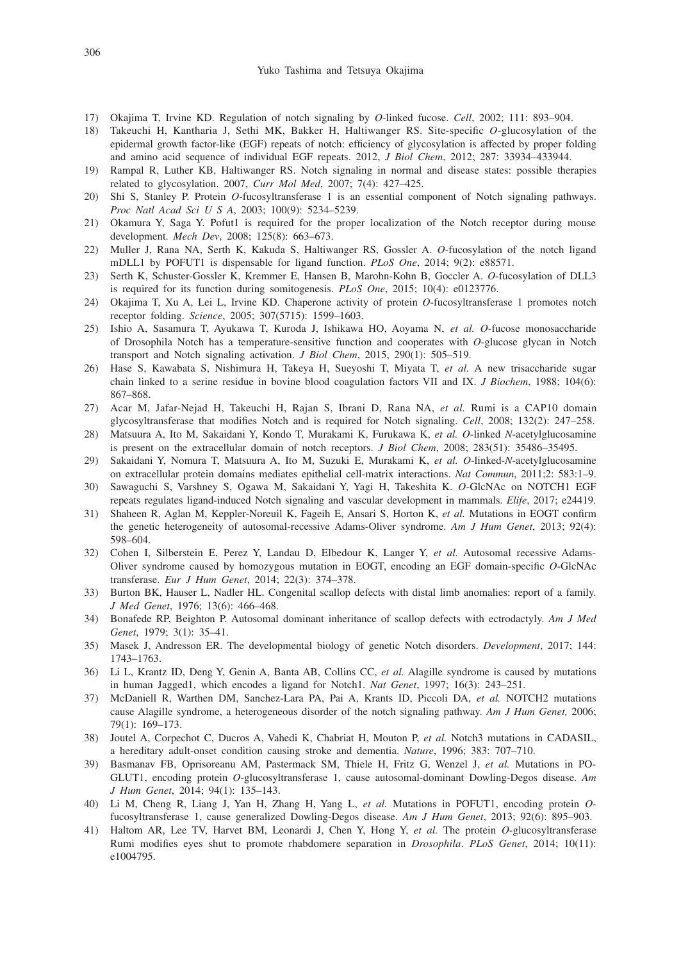- 17) Okajima T, Irvine KD. Regulation of notch signaling by *O*-linked fucose. *Cell*, 2002; 111: 893–904.
- 18) Takeuchi H, Kantharia J, Sethi MK, Bakker H, Haltiwanger RS. Site-specific *O*-glucosylation of the epidermal growth factor-like (EGF) repeats of notch: efficiency of glycosylation is affected by proper folding and amino acid sequence of individual EGF repeats. 2012, *J Biol Chem*, 2012; 287: 33934–433944.
- 19) Rampal R, Luther KB, Haltiwanger RS. Notch signaling in normal and disease states: possible therapies related to glycosylation. 2007, *Curr Mol Med*, 2007; 7(4): 427–425.
- 20) Shi S, Stanley P. Protein *O*-fucosyltransferase 1 is an essential component of Notch signaling pathways. *Proc Natl Acad Sci U S A*, 2003; 100(9): 5234–5239.
- 21) Okamura Y, Saga Y. Pofut1 is required for the proper localization of the Notch receptor during mouse development. *Mech Dev*, 2008; 125(8): 663–673.
- 22) Muller J, Rana NA, Serth K, Kakuda S, Haltiwanger RS, Gossler A. *O*-fucosylation of the notch ligand mDLL1 by POFUT1 is dispensable for ligand function. *PLoS One*, 2014; 9(2): e88571.
- 23) Serth K, Schuster-Gossler K, Kremmer E, Hansen B, Marohn-Kohn B, Goccler A. *O*-fucosylation of DLL3 is required for its function during somitogenesis. *PLoS One*, 2015; 10(4): e0123776.
- 24) Okajima T, Xu A, Lei L, Irvine KD. Chaperone activity of protein *O*-fucosyltransferase 1 promotes notch receptor folding. *Science*, 2005; 307(5715): 1599–1603.
- 25) Ishio A, Sasamura T, Ayukawa T, Kuroda J, Ishikawa HO, Aoyama N, *et al. O*-fucose monosaccharide of Drosophila Notch has a temperature-sensitive function and cooperates with *O*-glucose glycan in Notch transport and Notch signaling activation. *J Biol Chem*, 2015, 290(1): 505–519.
- 26) Hase S, Kawabata S, Nishimura H, Takeya H, Sueyoshi T, Miyata T, *et al.* A new trisaccharide sugar chain linked to a serine residue in bovine blood coagulation factors VII and IX. *J Biochem*, 1988; 104(6): 867–868.
- 27) Acar M, Jafar-Nejad H, Takeuchi H, Rajan S, Ibrani D, Rana NA, *et al.* Rumi is a CAP10 domain glycosyltransferase that modifies Notch and is required for Notch signaling. *Cell*, 2008; 132(2): 247–258.
- 28) Matsuura A, Ito M, Sakaidani Y, Kondo T, Murakami K, Furukawa K, *et al. O*-linked *N*-acetylglucosamine is present on the extracellular domain of notch receptors. *J Biol Chem*, 2008; 283(51): 35486–35495.
- 29) Sakaidani Y, Nomura T, Matsuura A, Ito M, Suzuki E, Murakami K, *et al. O*-linked-*N*-acetylglucosamine on extracellular protein domains mediates epithelial cell-matrix interactions. *Nat Commun*, 2011;2: 583:1–9.
- 30) Sawaguchi S, Varshney S, Ogawa M, Sakaidani Y, Yagi H, Takeshita K. *O*-GlcNAc on NOTCH1 EGF repeats regulates ligand-induced Notch signaling and vascular development in mammals. *Elife*, 2017; e24419.
- 31) Shaheen R, Aglan M, Keppler-Noreuil K, Fageih E, Ansari S, Horton K, *et al.* Mutations in EOGT confirm the genetic heterogeneity of autosomal-recessive Adams-Oliver syndrome. *Am J Hum Genet*, 2013; 92(4): 598–604.
- 32) Cohen I, Silberstein E, Perez Y, Landau D, Elbedour K, Langer Y, *et al.* Autosomal recessive Adams-Oliver syndrome caused by homozygous mutation in EOGT, encoding an EGF domain-specific *O*-GlcNAc transferase. *Eur J Hum Genet*, 2014; 22(3): 374–378.
- 33) Burton BK, Hauser L, Nadler HL. Congenital scallop defects with distal limb anomalies: report of a family. *J Med Genet*, 1976; 13(6): 466–468.
- 34) Bonafede RP, Beighton P. Autosomal dominant inheritance of scallop defects with ectrodactyly. *Am J Med Genet*, 1979; 3(1): 35–41.
- 35) Masek J, Andresson ER. The developmental biology of genetic Notch disorders. *Development*, 2017; 144: 1743–1763.
- 36) Li L, Krantz ID, Deng Y, Genin A, Banta AB, Collins CC, *et al.* Alagille syndrome is caused by mutations in human Jagged1, which encodes a ligand for Notch1. *Nat Genet*, 1997; 16(3): 243–251.
- 37) McDaniell R, Warthen DM, Sanchez-Lara PA, Pai A, Krants ID, Piccoli DA, *et al.* NOTCH2 mutations cause Alagille syndrome, a heterogeneous disorder of the notch signaling pathway. *Am J Hum Genet,* 2006; 79(1): 169–173.
- 38) Joutel A, Corpechot C, Ducros A, Vahedi K, Chabriat H, Mouton P, *et al.* Notch3 mutations in CADASIL, a hereditary adult-onset condition causing stroke and dementia. *Nature*, 1996; 383: 707–710.
- 39) Basmanav FB, Oprisoreanu AM, Pastermack SM, Thiele H, Fritz G, Wenzel J, *et al.* Mutations in PO-GLUT1, encoding protein *O*-glucosyltransferase 1, cause autosomal-dominant Dowling-Degos disease. *Am J Hum Genet*, 2014; 94(1): 135–143.
- 40) Li M, Cheng R, Liang J, Yan H, Zhang H, Yang L, *et al.* Mutations in POFUT1, encoding protein *O*fucosyltransferase 1, cause generalized Dowling-Degos disease. *Am J Hum Genet*, 2013; 92(6): 895–903.
- 41) Haltom AR, Lee TV, Harvet BM, Leonardi J, Chen Y, Hong Y, *et al.* The protein *O*-glucosyltransferase Rumi modifies eyes shut to promote rhabdomere separation in *Drosophila*. *PLoS Genet*, 2014; 10(11): e1004795.